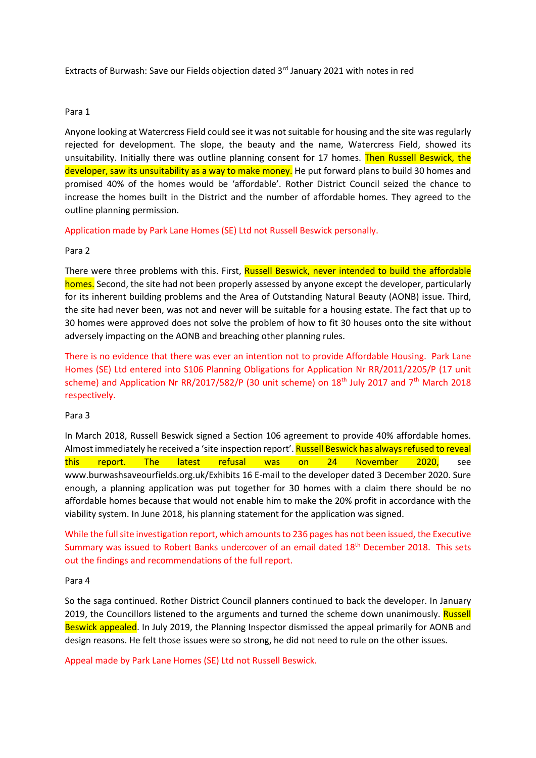Extracts of Burwash: Save our Fields objection dated  $3<sup>rd</sup>$  January 2021 with notes in red

# Para 1

Anyone looking at Watercress Field could see it was not suitable for housing and the site was regularly rejected for development. The slope, the beauty and the name, Watercress Field, showed its unsuitability. Initially there was outline planning consent for 17 homes. Then Russell Beswick, the developer, saw its unsuitability as a way to make money. He put forward plans to build 30 homes and promised 40% of the homes would be 'affordable'. Rother District Council seized the chance to increase the homes built in the District and the number of affordable homes. They agreed to the outline planning permission.

Application made by Park Lane Homes (SE) Ltd not Russell Beswick personally.

### Para 2

There were three problems with this. First, Russell Beswick, never intended to build the affordable homes. Second, the site had not been properly assessed by anyone except the developer, particularly for its inherent building problems and the Area of Outstanding Natural Beauty (AONB) issue. Third, the site had never been, was not and never will be suitable for a housing estate. The fact that up to 30 homes were approved does not solve the problem of how to fit 30 houses onto the site without adversely impacting on the AONB and breaching other planning rules.

There is no evidence that there was ever an intention not to provide Affordable Housing. Park Lane Homes (SE) Ltd entered into S106 Planning Obligations for Application Nr RR/2011/2205/P (17 unit scheme) and Application Nr RR/2017/582/P (30 unit scheme) on  $18<sup>th</sup>$  July 2017 and 7<sup>th</sup> March 2018 respectively.

#### Para 3

In March 2018, Russell Beswick signed a Section 106 agreement to provide 40% affordable homes. Almost immediately he received a 'site inspection report'. Russell Beswick has always refused to reveal this report. The latest refusal was on 24 November 2020, see www.burwashsaveourfields.org.uk/Exhibits 16 E-mail to the developer dated 3 December 2020. Sure enough, a planning application was put together for 30 homes with a claim there should be no affordable homes because that would not enable him to make the 20% profit in accordance with the viability system. In June 2018, his planning statement for the application was signed.

While the full site investigation report, which amounts to 236 pages has not been issued, the Executive Summary was issued to Robert Banks undercover of an email dated 18<sup>th</sup> December 2018. This sets out the findings and recommendations of the full report.

Para 4

So the saga continued. Rother District Council planners continued to back the developer. In January 2019, the Councillors listened to the arguments and turned the scheme down unanimously. Russell Beswick appealed. In July 2019, the Planning Inspector dismissed the appeal primarily for AONB and design reasons. He felt those issues were so strong, he did not need to rule on the other issues.

Appeal made by Park Lane Homes (SE) Ltd not Russell Beswick.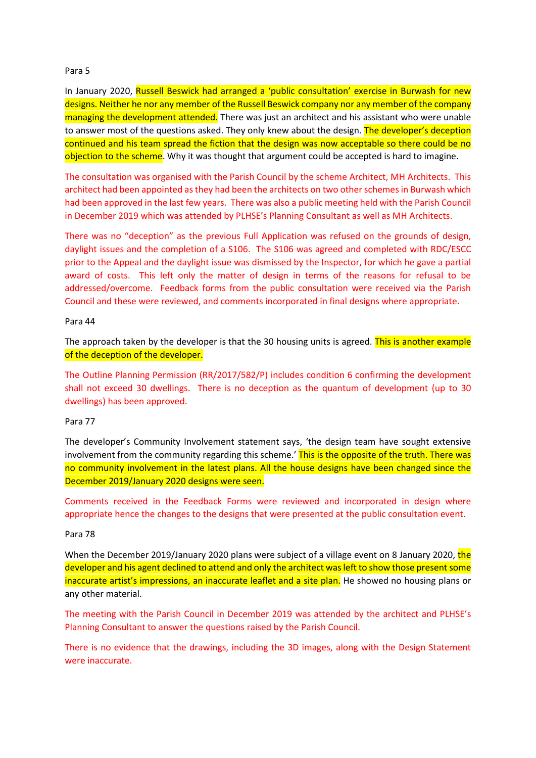### Para 5

In January 2020, Russell Beswick had arranged a 'public consultation' exercise in Burwash for new designs. Neither he nor any member of the Russell Beswick company nor any member of the company managing the development attended. There was just an architect and his assistant who were unable to answer most of the questions asked. They only knew about the design. The developer's deception continued and his team spread the fiction that the design was now acceptable so there could be no objection to the scheme. Why it was thought that argument could be accepted is hard to imagine.

The consultation was organised with the Parish Council by the scheme Architect, MH Architects. This architect had been appointed as they had been the architects on two other schemes in Burwash which had been approved in the last few years. There was also a public meeting held with the Parish Council in December 2019 which was attended by PLHSE's Planning Consultant as well as MH Architects.

There was no "deception" as the previous Full Application was refused on the grounds of design, daylight issues and the completion of a S106. The S106 was agreed and completed with RDC/ESCC prior to the Appeal and the daylight issue was dismissed by the Inspector, for which he gave a partial award of costs. This left only the matter of design in terms of the reasons for refusal to be addressed/overcome. Feedback forms from the public consultation were received via the Parish Council and these were reviewed, and comments incorporated in final designs where appropriate.

### Para 44

The approach taken by the developer is that the 30 housing units is agreed. This is another example of the deception of the developer.

The Outline Planning Permission (RR/2017/582/P) includes condition 6 confirming the development shall not exceed 30 dwellings. There is no deception as the quantum of development (up to 30 dwellings) has been approved.

# Para 77

The developer's Community Involvement statement says, 'the design team have sought extensive involvement from the community regarding this scheme.' This is the opposite of the truth. There was no community involvement in the latest plans. All the house designs have been changed since the December 2019/January 2020 designs were seen.

Comments received in the Feedback Forms were reviewed and incorporated in design where appropriate hence the changes to the designs that were presented at the public consultation event.

#### Para 78

When the December 2019/January 2020 plans were subject of a village event on 8 January 2020, the developer and his agent declined to attend and only the architect was left to show those present some inaccurate artist's impressions, an inaccurate leaflet and a site plan. He showed no housing plans or any other material.

The meeting with the Parish Council in December 2019 was attended by the architect and PLHSE's Planning Consultant to answer the questions raised by the Parish Council.

There is no evidence that the drawings, including the 3D images, along with the Design Statement were inaccurate.